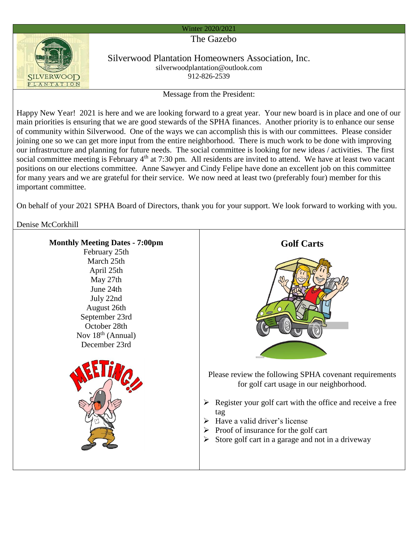## Winter 2020/2021

The Gazebo



Silverwood Plantation Homeowners Association, Inc. silverwoodplantation@outlook.com 912-826-2539

Message from the President:

Happy New Year! 2021 is here and we are looking forward to a great year. Your new board is in place and one of our main priorities is ensuring that we are good stewards of the SPHA finances. Another priority is to enhance our sense of community within Silverwood. One of the ways we can accomplish this is with our committees. Please consider joining one so we can get more input from the entire neighborhood. There is much work to be done with improving our infrastructure and planning for future needs. The social committee is looking for new ideas / activities. The first social committee meeting is February 4<sup>th</sup> at 7:30 pm. All residents are invited to attend. We have at least two vacant positions on our elections committee. Anne Sawyer and Cindy Felipe have done an excellent job on this committee for many years and we are grateful for their service. We now need at least two (preferably four) member for this important committee.

On behalf of your 2021 SPHA Board of Directors, thank you for your support. We look forward to working with you.

Denise McCorkhill